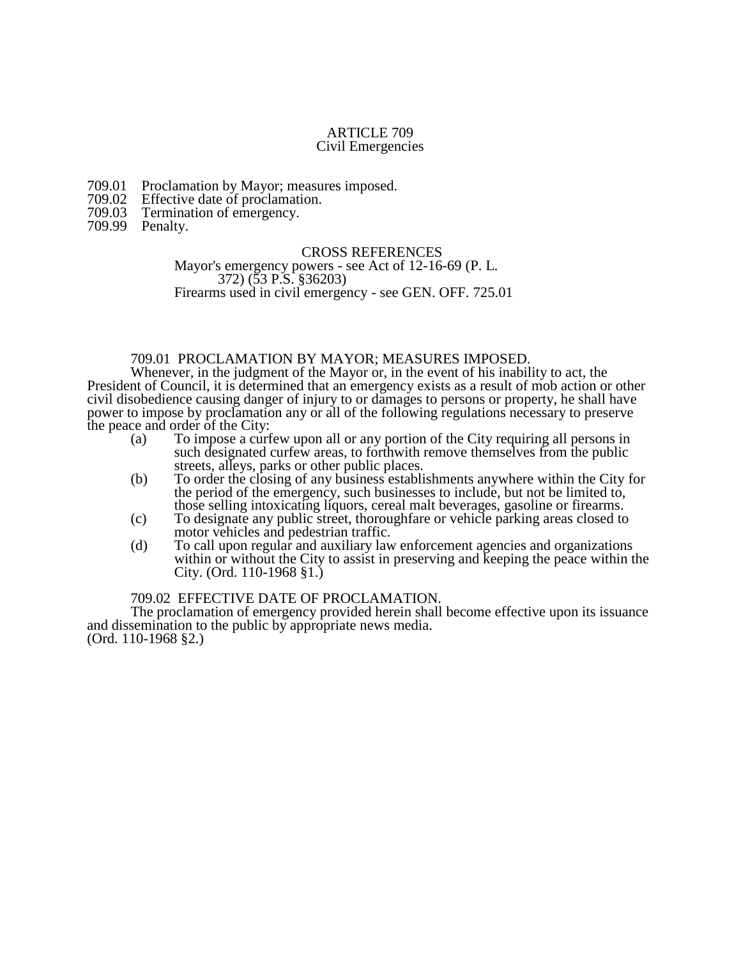### ARTICLE 709 Civil Emergencies

- 709.01 Proclamation by Mayor; measures imposed.<br>709.02 Effective date of proclamation.
- 709.02 Effective date of proclamation.<br>709.03 Termination of emergency.
- Termination of emergency.
- 709.99 Penalty.

#### CROSS REFERENCES

Mayor's emergency powers - see Act of 12-16-69 (P. L. 372) (53 P.S. §36203) Firearms used in civil emergency - see GEN. OFF. 725.01

# 709.01 PROCLAMATION BY MAYOR; MEASURES IMPOSED.

Whenever, in the judgment of the Mayor or, in the event of his inability to act, the President of Council, it is determined that an emergency exists as a result of mob action or other civil disobedience causing danger of injury to or damages to persons or property, he shall have power to impose by proclamation any or all of the following regulations necessary to preserve the peace and order of the City:

- (a) To impose a curfew upon all or any portion of the City requiring all persons in such designated curfew areas, to forthwith remove themselves from the public streets, alleys, parks or other public places.
- (b) To order the closing of any business establishments anywhere within the City for the period of the emergency, such businesses to include, but not be limited to, those selling intoxicating liquors, cereal malt beverages, gasoline or firearms.
- (c) To designate any public street, thoroughfare or vehicle parking areas closed to motor vehicles and pedestrian traffic.
- (d) To call upon regular and auxiliary law enforcement agencies and organizations within or without the City to assist in preserving and keeping the peace within the City. (Ord. 110-1968 §1.)

## 709.02 EFFECTIVE DATE OF PROCLAMATION.

The proclamation of emergency provided herein shall become effective upon its issuance and dissemination to the public by appropriate news media. (Ord. 110-1968 §2.)